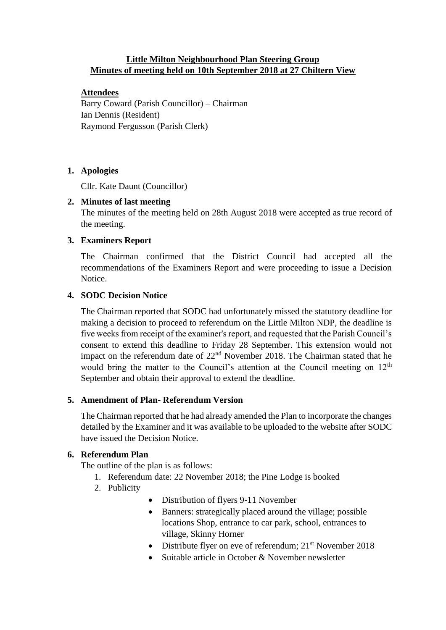# **Little Milton Neighbourhood Plan Steering Group Minutes of meeting held on 10th September 2018 at 27 Chiltern View**

# **Attendees**

Barry Coward (Parish Councillor) – Chairman Ian Dennis (Resident) Raymond Fergusson (Parish Clerk)

# **1. Apologies**

Cllr. Kate Daunt (Councillor)

### **2. Minutes of last meeting**

The minutes of the meeting held on 28th August 2018 were accepted as true record of the meeting.

### **3. Examiners Report**

The Chairman confirmed that the District Council had accepted all the recommendations of the Examiners Report and were proceeding to issue a Decision Notice.

### **4. SODC Decision Notice**

The Chairman reported that SODC had unfortunately missed the statutory deadline for making a decision to proceed to referendum on the Little Milton NDP, the deadline is five weeks from receipt of the examiner's report, and requested that the Parish Council's consent to extend this deadline to Friday 28 September. This extension would not impact on the referendum date of  $22<sup>nd</sup>$  November 2018. The Chairman stated that he would bring the matter to the Council's attention at the Council meeting on 12<sup>th</sup> September and obtain their approval to extend the deadline.

# **5. Amendment of Plan- Referendum Version**

The Chairman reported that he had already amended the Plan to incorporate the changes detailed by the Examiner and it was available to be uploaded to the website after SODC have issued the Decision Notice.

### **6. Referendum Plan**

The outline of the plan is as follows:

- 1. Referendum date: 22 November 2018; the Pine Lodge is booked
- 2. Publicity
- Distribution of flyers 9-11 November
- Banners: strategically placed around the village; possible locations Shop, entrance to car park, school, entrances to village, Skinny Horner
- Distribute flyer on eve of referendum;  $21<sup>st</sup>$  November 2018
- Suitable article in October & November newsletter